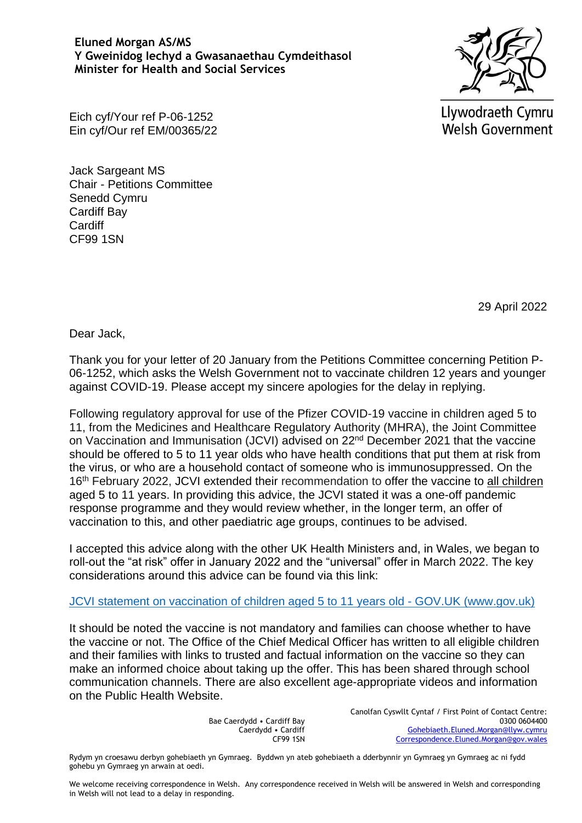## **Eluned Morgan AS/MS Y Gweinidog Iechyd a Gwasanaethau Cymdeithasol Minister for Health and Social Services**



Eich cyf/Your ref P-06-1252 Ein cyf/Our ref EM/00365/22 Llywodraeth Cymru **Welsh Government** 

Jack Sargeant MS Chair - Petitions Committee Senedd Cymru Cardiff Bay **Cardiff** CF99 1SN

29 April 2022

Dear Jack,

Thank you for your letter of 20 January from the Petitions Committee concerning Petition P-06-1252, which asks the Welsh Government not to vaccinate children 12 years and younger against COVID-19. Please accept my sincere apologies for the delay in replying.

Following regulatory approval for use of the Pfizer COVID-19 vaccine in children aged 5 to 11, from the Medicines and Healthcare Regulatory Authority (MHRA), the Joint Committee on Vaccination and Immunisation (JCVI) advised on 22nd December 2021 that the vaccine should be offered to 5 to 11 year olds who have health conditions that put them at risk from the virus, or who are a household contact of someone who is immunosuppressed. On the 16<sup>th</sup> February 2022, JCVI extended their recommendation to offer the vaccine to all children aged 5 to 11 years. In providing this advice, the JCVI stated it was a one-off pandemic response programme and they would review whether, in the longer term, an offer of vaccination to this, and other paediatric age groups, continues to be advised.

I accepted this advice along with the other UK Health Ministers and, in Wales, we began to roll-out the "at risk" offer in January 2022 and the "universal" offer in March 2022. The key considerations around this advice can be found via this link:

[JCVI statement on vaccination of children aged 5 to 11 years old -](https://www.gov.uk/government/publications/jcvi-update-on-advice-for-covid-19-vaccination-of-children-aged-5-to-11/jcvi-statement-on-vaccination-of-children-aged-5-to-11-years-old) GOV.UK (www.gov.uk)

It should be noted the vaccine is not mandatory and families can choose whether to have the vaccine or not. The Office of the Chief Medical Officer has written to all eligible children and their families with links to trusted and factual information on the vaccine so they can make an informed choice about taking up the offer. This has been shared through school communication channels. There are also excellent age-appropriate videos and information on the Public Health Website.

> Bae Caerdydd • Cardiff Bay Caerdydd • Cardiff CF99 1SN

Canolfan Cyswllt Cyntaf / First Point of Contact Centre: 0300 0604400 [Gohebiaeth.Eluned.Morgan@llyw.cymru](mailto:Gohebiaeth.Eluned.Morgan@llyw.cymru) [Correspondence.Eluned.Morgan@gov.wales](mailto:Correspondence.Eluned.Morgan@gov.wales)

Rydym yn croesawu derbyn gohebiaeth yn Gymraeg. Byddwn yn ateb gohebiaeth a dderbynnir yn Gymraeg yn Gymraeg ac ni fydd gohebu yn Gymraeg yn arwain at oedi.

We welcome receiving correspondence in Welsh. Any correspondence received in Welsh will be answered in Welsh and corresponding in Welsh will not lead to a delay in responding.